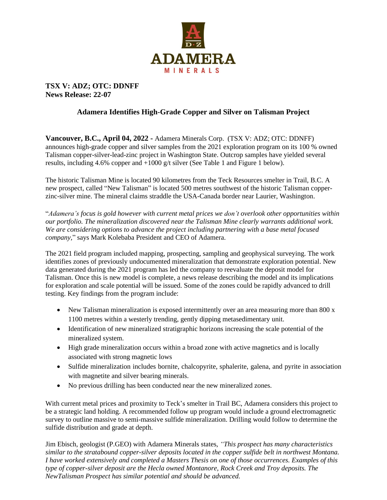

## **TSX V: ADZ; OTC: DDNFF News Release: 22-07**

## **Adamera Identifies High-Grade Copper and Silver on Talisman Project**

**Vancouver, B.C., April 04, 2022 -** Adamera Minerals Corp. (TSX V: ADZ; OTC: DDNFF) announces high-grade copper and silver samples from the 2021 exploration program on its 100 % owned Talisman copper-silver-lead-zinc project in Washington State. Outcrop samples have yielded several results, including 4.6% copper and +1000 g/t silver (See Table 1 and Figure 1 below).

The historic Talisman Mine is located 90 kilometres from the Teck Resources smelter in Trail, B.C. A new prospect, called "New Talisman" is located 500 metres southwest of the historic Talisman copperzinc-silver mine. The mineral claims straddle the USA-Canada border near Laurier, Washington.

"*Adamera's focus is gold however with current metal prices we don't overlook other opportunities within our portfolio. The mineralization discovered near the Talisman Mine clearly warrants additional work. We are considering options to advance the project including partnering with a base metal focused company,*" says Mark Kolebaba President and CEO of Adamera.

The 2021 field program included mapping, prospecting, sampling and geophysical surveying. The work identifies zones of previously undocumented mineralization that demonstrate exploration potential. New data generated during the 2021 program has led the company to reevaluate the deposit model for Talisman. Once this is new model is complete, a news release describing the model and its implications for exploration and scale potential will be issued. Some of the zones could be rapidly advanced to drill testing. Key findings from the program include:

- New Talisman mineralization is exposed intermittently over an area measuring more than 800 x 1100 metres within a westerly trending, gently dipping metasedimentary unit.
- Identification of new mineralized stratigraphic horizons increasing the scale potential of the mineralized system.
- High grade mineralization occurs within a broad zone with active magnetics and is locally associated with strong magnetic lows
- Sulfide mineralization includes bornite, chalcopyrite, sphalerite, galena, and pyrite in association with magnetite and silver bearing minerals.
- No previous drilling has been conducted near the new mineralized zones.

With current metal prices and proximity to Teck's smelter in Trail BC, Adamera considers this project to be a strategic land holding. A recommended follow up program would include a ground electromagnetic survey to outline massive to semi-massive sulfide mineralization. Drilling would follow to determine the sulfide distribution and grade at depth.

Jim Ebisch, geologist (P.GEO) with Adamera Minerals states, *"This prospect has many characteristics similar to the stratabound copper-silver deposits located in the copper sulfide belt in northwest Montana. I have worked extensively and completed a Masters Thesis on one of those occurrences. Examples of this type of copper-silver deposit are the Hecla owned Montanore, Rock Creek and Troy deposits. The NewTalisman Prospect has similar potential and should be advanced.*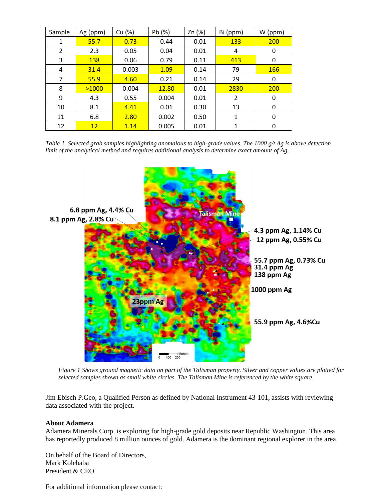| Sample | Ag (ppm) | Cu (%) | Pb (%) | Zn (%) | Bi (ppm)       | W (ppm)    |
|--------|----------|--------|--------|--------|----------------|------------|
| 1      | 55.7     | 0.73   | 0.44   | 0.01   | <b>133</b>     | 200        |
| 2      | 2.3      | 0.05   | 0.04   | 0.01   | 4              | 0          |
| 3      | 138      | 0.06   | 0.79   | 0.11   | 413            | 0          |
| 4      | 31.4     | 0.003  | 1.09   | 0.14   | 79             | <b>166</b> |
| 7      | 55.9     | 4.60   | 0.21   | 0.14   | 29             | 0          |
| 8      | >1000    | 0.004  | 12.80  | 0.01   | 2830           | 200        |
| 9      | 4.3      | 0.55   | 0.004  | 0.01   | $\overline{2}$ | 0          |
| 10     | 8.1      | 4.41   | 0.01   | 0.30   | 13             | 0          |
| 11     | 6.8      | 2.80   | 0.002  | 0.50   | 1              | 0          |
| 12     | 12       | 1.14   | 0.005  | 0.01   | 1              | 0          |

*Table 1. Selected grab samples highlighting anomalous to high-grade values. The 1000 g/t Ag is above detection limit of the analytical method and requires additional analysis to determine exact amount of Ag.*



*Figure 1 Shows ground magnetic data on part of the Talisman property. Silver and copper values are plotted for selected samples shown as small white circles. The Talisman Mine is referenced by the white square.*

Jim Ebisch P.Geo, a Qualified Person as defined by National Instrument 43-101, assists with reviewing data associated with the project.

## **About Adamera**

Adamera Minerals Corp. is exploring for high-grade gold deposits near Republic Washington. This area has reportedly produced 8 million ounces of gold. Adamera is the dominant regional explorer in the area.

On behalf of the Board of Directors, Mark Kolebaba President & CEO

For additional information please contact: